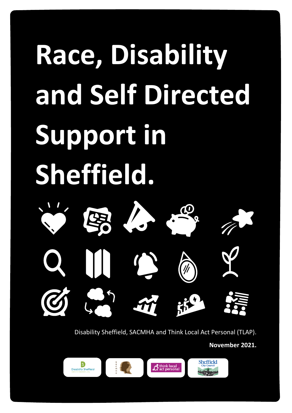# **Race, Disability and Self Directed Support in Sheffield.**



Disability Sheffield, SACMHA and Think Local Act Personal (TLAP).

**November 2021.**

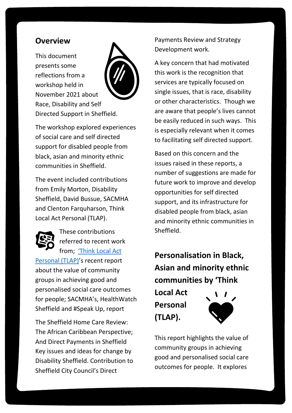# **Overview**

This document presents some reflections from a workshop held in November 2021 about Race, Disability and Self Directed Support in Sheffield.



The workshop explored experiences of social care and self directed support for disabled people from black, asian and minority ethnic communities in Sheffield.

The event included contributions from Emily Morton, Disability Sheffield, David Bussue, SACMHA and Clenton Farquharson, Think Local Act Personal (TLAP).



These contributions referred to recent work from; ['Think Local Act](https://eur02.safelinks.protection.outlook.com/?url=https%3A%2F%2Fwww.thinklocalactpersonal.org.uk%2FEvents%2FPersonalisation-in-Black-Asian-and-minority-ethnic-communities-21-12-02%2F&data=04%7C01%7Cemily.morton%40disabilitysheffield.org.uk%7C01ff27e4c9034af637f308d9a811875c%7C61581cb6942b4c4d9c5a7638ec110058%7C1%7C0%7C637725615506715469%7CUnknown%7CTWFpbGZsb3d8eyJWIjoiMC4wLjAwMDAiLCJQIjoiV2luMzIiLCJBTiI6Ik1haWwiLCJXVCI6Mn0%3D%7C3000&sdata=Jak9dtWlI3Byy%2Bt2uFdDFegx0ZtwPNP46talVXNy2fk%3D&reserved=0) 

[Personal \(TLAP\)'](https://eur02.safelinks.protection.outlook.com/?url=https%3A%2F%2Fwww.thinklocalactpersonal.org.uk%2FEvents%2FPersonalisation-in-Black-Asian-and-minority-ethnic-communities-21-12-02%2F&data=04%7C01%7Cemily.morton%40disabilitysheffield.org.uk%7C01ff27e4c9034af637f308d9a811875c%7C61581cb6942b4c4d9c5a7638ec110058%7C1%7C0%7C637725615506715469%7CUnknown%7CTWFpbGZsb3d8eyJWIjoiMC4wLjAwMDAiLCJQIjoiV2luMzIiLCJBTiI6Ik1haWwiLCJXVCI6Mn0%3D%7C3000&sdata=Jak9dtWlI3Byy%2Bt2uFdDFegx0ZtwPNP46talVXNy2fk%3D&reserved=0)s recent report about the value of community groups in achieving good and personalised social care outcomes for people; SACMHA's, HealthWatch Sheffield and #Speak Up, report

The Sheffield Home Care Review: The African Caribbean Perspective; And Direct Payments in Sheffield Key issues and ideas for change by Disability Sheffield. Contribution to Sheffield City Council's Direct

Payments Review and Strategy Development work.

A key concern that had motivated this work is the recognition that services are typically focused on single issues, that is race, disability or other characteristics. Though we are aware that people's lives cannot be easily reduced in such ways. This is especially relevant when it comes to facilitating self directed support.

Based on this concern and the issues raised in these reports, a number of suggestions are made for future work to improve and develop opportunities for self directed support, and its infrastructure for disabled people from black, asian and minority ethnic communities in **Sheffield.** 

**Personalisation in Black, Asian and minority ethnic communities by 'Think** 

**Local Act Personal (TLAP).**



This report highlights the value of community groups in achieving good and personalised social care outcomes for people. It explores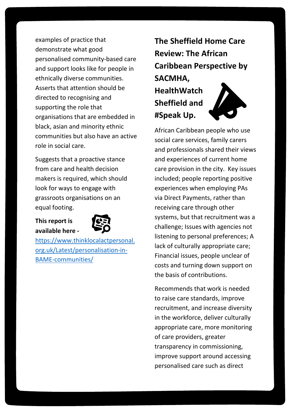examples of practice that demonstrate what good personalised community-based care and support looks like for people in ethnically diverse communities. Asserts that attention should be directed to recognising and supporting the role that organisations that are embedded in black, asian and minority ethnic communities but also have an active role in social care.

Suggests that a proactive stance from care and health decision makers is required, which should look for ways to engage with grassroots organisations on an equal footing.

#### **This report is available here -**



[https://www.thinklocalactpersonal.](https://www.thinklocalactpersonal.org.uk/Latest/personalisation-in-BAME-communities/) [org.uk/Latest/personalisation-in-](https://www.thinklocalactpersonal.org.uk/Latest/personalisation-in-BAME-communities/)[BAME-communities/](https://www.thinklocalactpersonal.org.uk/Latest/personalisation-in-BAME-communities/)

**The Sheffield Home Care Review: The African Caribbean Perspective by SACMHA, HealthWatch Sheffield and #Speak Up.**

African Caribbean people who use social care services, family carers and professionals shared their views and experiences of current home care provision in the city. Key issues included; people reporting positive experiences when employing PAs via Direct Payments, rather than receiving care through other systems, but that recruitment was a challenge; Issues with agencies not listening to personal preferences; A lack of culturally appropriate care; Financial issues, people unclear of costs and turning down support on the basis of contributions.

Recommends that work is needed to raise care standards, improve recruitment, and increase diversity in the workforce, deliver culturally appropriate care, more monitoring of care providers, greater transparency in commissioning, improve support around accessing personalised care such as direct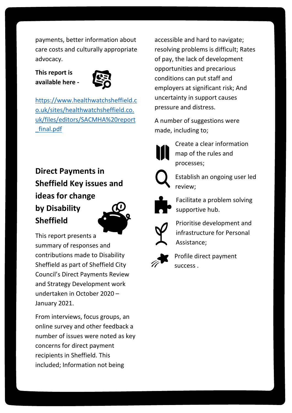payments, better information about care costs and culturally appropriate advocacy.

#### **This report is available here -**



[https://www.healthwatchsheffield.c](https://www.healthwatchsheffield.co.uk/sites/healthwatchsheffield.co.uk/files/editors/SACMHA%20report_final.pdf) [o.uk/sites/healthwatchsheffield.co.](https://www.healthwatchsheffield.co.uk/sites/healthwatchsheffield.co.uk/files/editors/SACMHA%20report_final.pdf) [uk/files/editors/SACMHA%20report](https://www.healthwatchsheffield.co.uk/sites/healthwatchsheffield.co.uk/files/editors/SACMHA%20report_final.pdf) [\\_final.pdf](https://www.healthwatchsheffield.co.uk/sites/healthwatchsheffield.co.uk/files/editors/SACMHA%20report_final.pdf)

**Direct Payments in Sheffield Key issues and ideas for change by Disability Sheffield** 



This report presents a summary of responses and contributions made to Disability Sheffield as part of Sheffield City Council's Direct Payments Review and Strategy Development work undertaken in October 2020 – January 2021.

From interviews, focus groups, an online survey and other feedback a number of issues were noted as key concerns for direct payment recipients in Sheffield. This included; Information not being

accessible and hard to navigate; resolving problems is difficult; Rates of pay, the lack of development opportunities and precarious conditions can put staff and employers at significant risk; And uncertainty in support causes pressure and distress.

A number of suggestions were made, including to;



Create a clear information map of the rules and processes;



Establish an ongoing user led review;



Facilitate a problem solving supportive hub.



Prioritise development and infrastructure for Personal Assistance;



Profile direct payment success .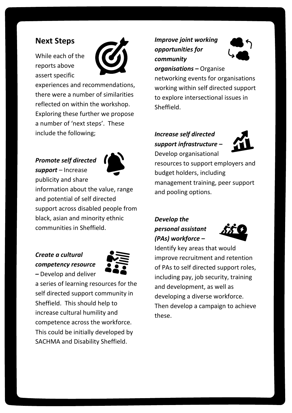# **Next Steps**

While each of the reports above assert specific



experiences and recommendations, there were a number of similarities reflected on within the workshop. Exploring these further we propose a number of 'next steps'. These include the following;

# *Promote self directed*

*support –* Increase publicity and share



information about the value, range and potential of self directed support across disabled people from black, asian and minority ethnic communities in Sheffield.

### *Create a cultural competency resource –* Develop and deliver



a series of learning resources for the self directed support community in Sheffield. This should help to increase cultural humility and competence across the workforce. This could be initially developed by SACHMA and Disability Sheffield.

# *Improve joint working opportunities for community*



# *organisations –* Organise

networking events for organisations working within self directed support to explore intersectional issues in Sheffield.

#### *Increase self directed support infrastructure –* Develop organisational



resources to support employers and budget holders, including management training, peer support and pooling options.

# *Develop the personal assistant (PAs) workforce –*



Identify key areas that would improve recruitment and retention of PAs to self directed support roles, including pay, job security, training and development, as well as developing a diverse workforce. Then develop a campaign to achieve these.